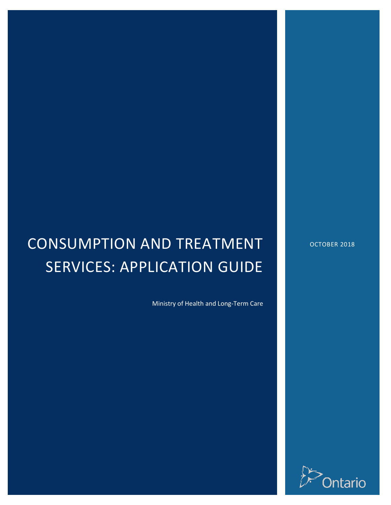# CONSUMPTION AND TREATMENT SERVICES: APPLICATION GUIDE

Ministry of Health and Long-Term Care

OCTOBER 2018

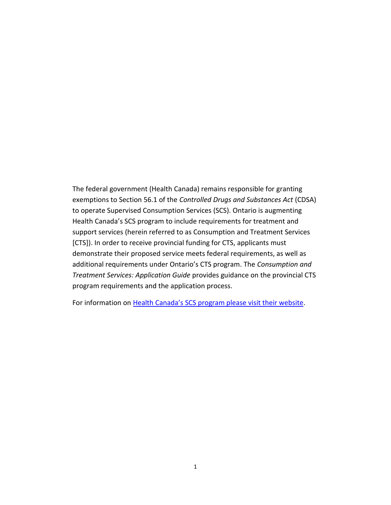The federal government (Health Canada) remains responsible for granting exemptions to Section 56.1 of the *Controlled Drugs and Substances Act* (CDSA) to operate Supervised Consumption Services (SCS). Ontario is augmenting Health Canada's SCS program to include requirements for treatment and support services (herein referred to as Consumption and Treatment Services [CTS]). In order to receive provincial funding for CTS, applicants must demonstrate their proposed service meets federal requirements, as well as additional requirements under Ontario's CTS program. The *Consumption and Treatment Services: Application Guide* provides guidance on the provincial CTS program requirements and the application process.

For information on [Health Canada's SCS program please visit their website.](https://www.canada.ca/en/health-canada/services/substance-use/supervised-consumption-sites.html)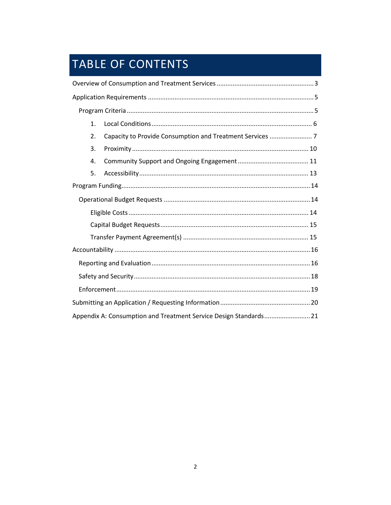## TABLE OF CONTENTS

| 1. |                                                                   |  |  |  |
|----|-------------------------------------------------------------------|--|--|--|
| 2. |                                                                   |  |  |  |
| 3. |                                                                   |  |  |  |
| 4. |                                                                   |  |  |  |
| 5. |                                                                   |  |  |  |
|    |                                                                   |  |  |  |
|    |                                                                   |  |  |  |
|    |                                                                   |  |  |  |
|    |                                                                   |  |  |  |
|    |                                                                   |  |  |  |
|    |                                                                   |  |  |  |
|    |                                                                   |  |  |  |
|    |                                                                   |  |  |  |
|    |                                                                   |  |  |  |
|    |                                                                   |  |  |  |
|    | Appendix A: Consumption and Treatment Service Design Standards 21 |  |  |  |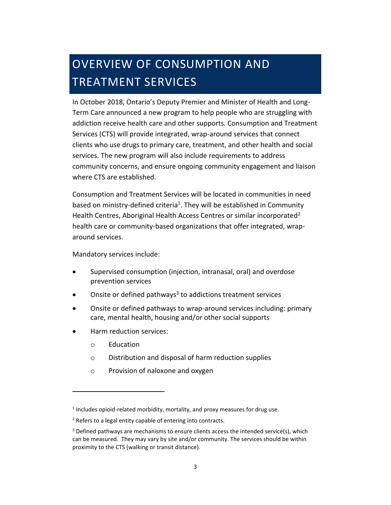## <span id="page-3-0"></span>OVERVIEW OF CONSUMPTION AND TREATMENT SERVICES

In October 2018, Ontario's Deputy Premier and Minister of Health and Long-Term Care announced a new program to help people who are struggling with addiction receive health care and other supports. Consumption and Treatment Services (CTS) will provide integrated, wrap-around services that connect clients who use drugs to primary care, treatment, and other health and social services. The new program will also include requirements to address community concerns, and ensure ongoing community engagement and liaison where CTS are established.

Consumption and Treatment Services will be located in communities in need based on ministry-defined criteria<sup>1</sup>. They will be established in Community Health Centres, Aboriginal Health Access Centres or similar incorporated<sup>2</sup> health care or community-based organizations that offer integrated, wraparound services.

Mandatory services include:

- Supervised consumption (injection, intranasal, oral) and overdose prevention services
- $\bullet$  Onsite or defined pathways<sup>3</sup> to addictions treatment services
- Onsite or defined pathways to wrap-around services including: primary care, mental health, housing and/or other social supports
- Harm reduction services:
	- o Education
	- o Distribution and disposal of harm reduction supplies
	- o Provision of naloxone and oxygen

 $<sup>1</sup>$  Includes opioid-related morbidity, mortality, and proxy measures for drug use.</sup>

<sup>&</sup>lt;sup>2</sup> Refers to a legal entity capable of entering into contracts.

<sup>&</sup>lt;sup>3</sup> Defined pathways are mechanisms to ensure clients access the intended service(s), which can be measured. They may vary by site and/or community. The services should be within proximity to the CTS (walking or transit distance).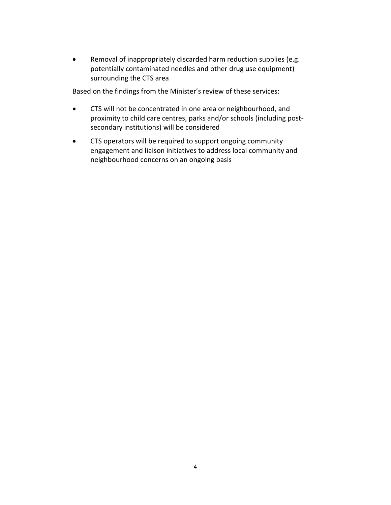Removal of inappropriately discarded harm reduction supplies (e.g. potentially contaminated needles and other drug use equipment) surrounding the CTS area

Based on the findings from the Minister's review of these services:

- CTS will not be concentrated in one area or neighbourhood, and proximity to child care centres, parks and/or schools (including postsecondary institutions) will be considered
- CTS operators will be required to support ongoing community engagement and liaison initiatives to address local community and neighbourhood concerns on an ongoing basis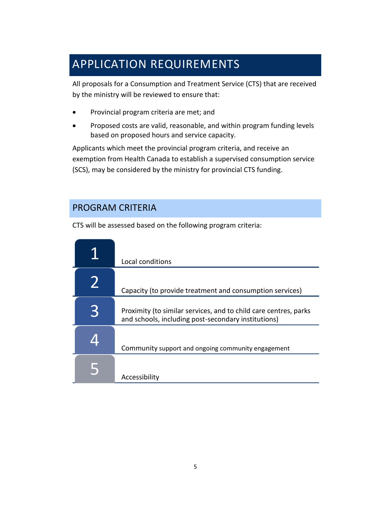## <span id="page-5-0"></span>APPLICATION REQUIREMENTS

All proposals for a Consumption and Treatment Service (CTS) that are received by the ministry will be reviewed to ensure that:

- Provincial program criteria are met; and
- Proposed costs are valid, reasonable, and within program funding levels based on proposed hours and service capacity.

Applicants which meet the provincial program criteria, and receive an exemption from Health Canada to establish a supervised consumption service (SCS), may be considered by the ministry for provincial CTS funding.

## <span id="page-5-1"></span>PROGRAM CRITERIA

CTS will be assessed based on the following program criteria:

| Local conditions                                                                                                        |
|-------------------------------------------------------------------------------------------------------------------------|
| Capacity (to provide treatment and consumption services)                                                                |
| Proximity (to similar services, and to child care centres, parks<br>and schools, including post-secondary institutions) |
| Community support and ongoing community engagement                                                                      |
| Accessibility                                                                                                           |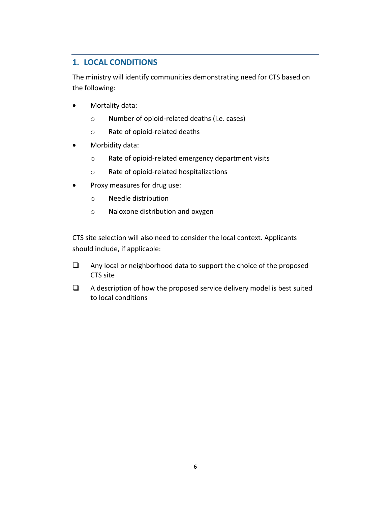## <span id="page-6-0"></span>**1. LOCAL CONDITIONS**

The ministry will identify communities demonstrating need for CTS based on the following:

- Mortality data:
	- o Number of opioid-related deaths (i.e. cases)
	- o Rate of opioid-related deaths
- Morbidity data:
	- o Rate of opioid-related emergency department visits
	- o Rate of opioid-related hospitalizations
- Proxy measures for drug use:
	- o Needle distribution
	- o Naloxone distribution and oxygen

CTS site selection will also need to consider the local context. Applicants should include, if applicable:

- $\Box$  Any local or neighborhood data to support the choice of the proposed CTS site
- $\Box$  A description of how the proposed service delivery model is best suited to local conditions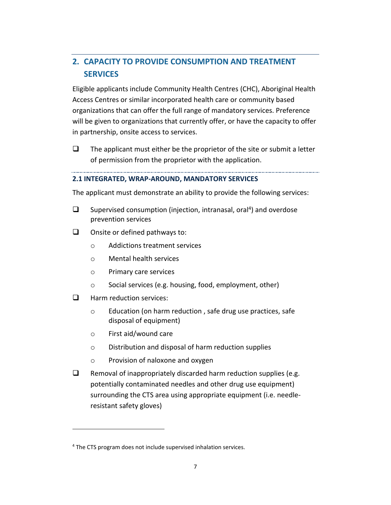## <span id="page-7-0"></span>**2. CAPACITY TO PROVIDE CONSUMPTION AND TREATMENT SERVICES**

Eligible applicants include Community Health Centres (CHC), Aboriginal Health Access Centres or similar incorporated health care or community based organizations that can offer the full range of mandatory services. Preference will be given to organizations that currently offer, or have the capacity to offer in partnership, onsite access to services.

 $\Box$  The applicant must either be the proprietor of the site or submit a letter of permission from the proprietor with the application.

#### **2.1 INTEGRATED, WRAP-AROUND, MANDATORY SERVICES**

The applicant must demonstrate an ability to provide the following services:

- $\Box$  Supervised consumption (injection, intranasal, oral<sup>4</sup>) and overdose prevention services
- $\Box$  Onsite or defined pathways to:
	- o Addictions treatment services
	- o Mental health services
	- o Primary care services
	- o Social services (e.g. housing, food, employment, other)
- $\Box$  Harm reduction services:

- o Education (on harm reduction , safe drug use practices, safe disposal of equipment)
- o First aid/wound care
- o Distribution and disposal of harm reduction supplies
- o Provision of naloxone and oxygen
- $\Box$  Removal of inappropriately discarded harm reduction supplies (e.g. potentially contaminated needles and other drug use equipment) surrounding the CTS area using appropriate equipment (i.e. needleresistant safety gloves)

<sup>&</sup>lt;sup>4</sup> The CTS program does not include supervised inhalation services.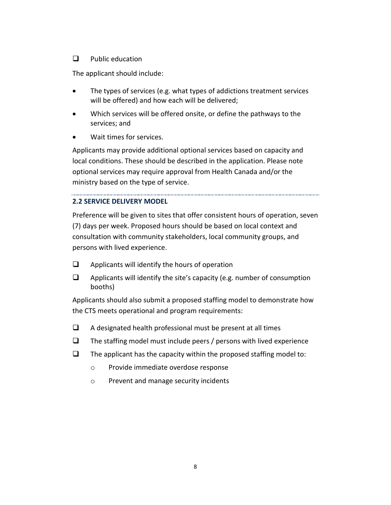### $\Box$  Public education

The applicant should include:

- The types of services (e.g. what types of addictions treatment services will be offered) and how each will be delivered;
- Which services will be offered onsite, or define the pathways to the services; and
- Wait times for services.

Applicants may provide additional optional services based on capacity and local conditions. These should be described in the application. Please note optional services may require approval from Health Canada and/or the ministry based on the type of service.

### **2.2 SERVICE DELIVERY MODEL**

Preference will be given to sites that offer consistent hours of operation, seven (7) days per week. Proposed hours should be based on local context and consultation with community stakeholders, local community groups, and persons with lived experience.

- $\Box$  Applicants will identify the hours of operation
- $\Box$  Applicants will identify the site's capacity (e.g. number of consumption booths)

Applicants should also submit a proposed staffing model to demonstrate how the CTS meets operational and program requirements:

- $\Box$  A designated health professional must be present at all times
- $\Box$  The staffing model must include peers / persons with lived experience
- $\Box$  The applicant has the capacity within the proposed staffing model to:
	- o Provide immediate overdose response
	- o Prevent and manage security incidents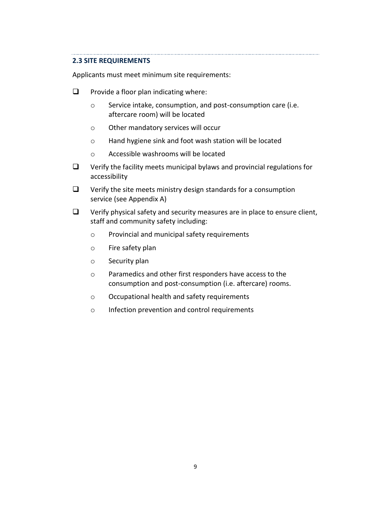#### **2.3 SITE REQUIREMENTS**

Applicants must meet minimum site requirements:

- $\Box$  Provide a floor plan indicating where:
	- o Service intake, consumption, and post-consumption care (i.e. aftercare room) will be located
	- o Other mandatory services will occur
	- o Hand hygiene sink and foot wash station will be located
	- o Accessible washrooms will be located
- $\Box$  Verify the facility meets municipal bylaws and provincial regulations for accessibility
- $\Box$  Verify the site meets ministry design standards for a consumption service (see Appendix A)
- $\Box$  Verify physical safety and security measures are in place to ensure client, staff and community safety including:
	- o Provincial and municipal safety requirements
	- o Fire safety plan
	- o Security plan
	- o Paramedics and other first responders have access to the consumption and post-consumption (i.e. aftercare) rooms.
	- o Occupational health and safety requirements
	- o Infection prevention and control requirements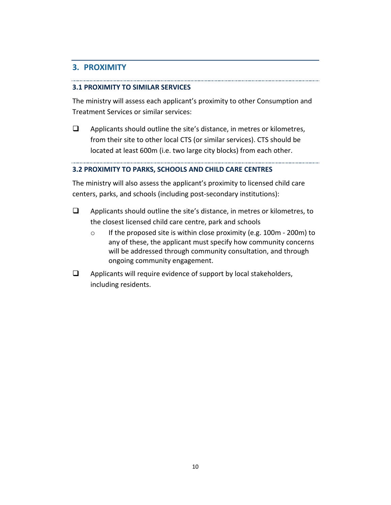### <span id="page-10-0"></span>**3. PROXIMITY**

#### **3.1 PROXIMITY TO SIMILAR SERVICES**

The ministry will assess each applicant's proximity to other Consumption and Treatment Services or similar services:

 $\Box$  Applicants should outline the site's distance, in metres or kilometres, from their site to other local CTS (or similar services). CTS should be located at least 600m (i.e. two large city blocks) from each other.

#### **3.2 PROXIMITY TO PARKS, SCHOOLS AND CHILD CARE CENTRES**

The ministry will also assess the applicant's proximity to licensed child care centers, parks, and schools (including post-secondary institutions):

- $\Box$  Applicants should outline the site's distance, in metres or kilometres, to the closest licensed child care centre, park and schools
	- o If the proposed site is within close proximity (e.g. 100m 200m) to any of these, the applicant must specify how community concerns will be addressed through community consultation, and through ongoing community engagement.
- $\Box$  Applicants will require evidence of support by local stakeholders, including residents.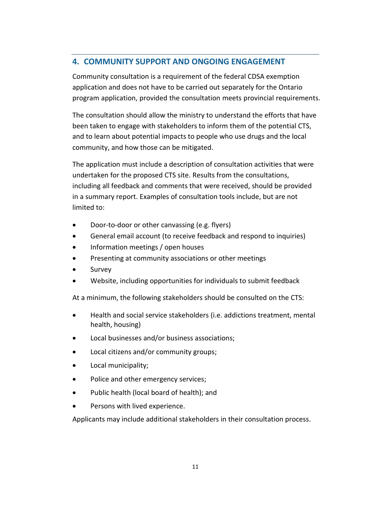## <span id="page-11-0"></span>**4. COMMUNITY SUPPORT AND ONGOING ENGAGEMENT**

Community consultation is a requirement of the federal CDSA exemption application and does not have to be carried out separately for the Ontario program application, provided the consultation meets provincial requirements.

The consultation should allow the ministry to understand the efforts that have been taken to engage with stakeholders to inform them of the potential CTS, and to learn about potential impacts to people who use drugs and the local community, and how those can be mitigated.

The application must include a description of consultation activities that were undertaken for the proposed CTS site. Results from the consultations, including all feedback and comments that were received, should be provided in a summary report. Examples of consultation tools include, but are not limited to:

- Door-to-door or other canvassing (e.g. flyers)
- General email account (to receive feedback and respond to inquiries)
- Information meetings / open houses
- **•** Presenting at community associations or other meetings
- Survey
- Website, including opportunities for individuals to submit feedback

At a minimum, the following stakeholders should be consulted on the CTS:

- Health and social service stakeholders (i.e. addictions treatment, mental health, housing)
- Local businesses and/or business associations;
- Local citizens and/or community groups;
- Local municipality;
- Police and other emergency services;
- Public health (local board of health); and
- Persons with lived experience.

Applicants may include additional stakeholders in their consultation process.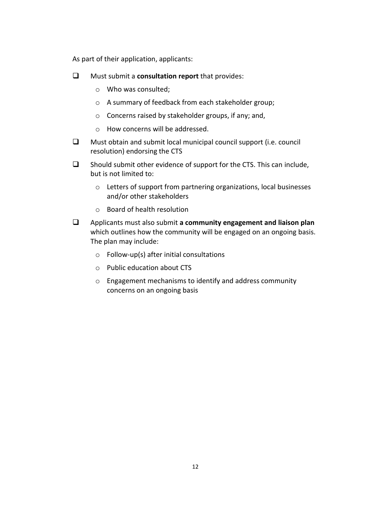As part of their application, applicants:

- Must submit a **consultation report** that provides:
	- o Who was consulted;
	- o A summary of feedback from each stakeholder group;
	- o Concerns raised by stakeholder groups, if any; and,
	- o How concerns will be addressed.
- $\Box$  Must obtain and submit local municipal council support (i.e. council resolution) endorsing the CTS
- $\Box$  Should submit other evidence of support for the CTS. This can include, but is not limited to:
	- o Letters of support from partnering organizations, local businesses and/or other stakeholders
	- o Board of health resolution
- Applicants must also submit **a community engagement and liaison plan** which outlines how the community will be engaged on an ongoing basis. The plan may include:
	- $\circ$  Follow-up(s) after initial consultations
	- o Public education about CTS
	- o Engagement mechanisms to identify and address community concerns on an ongoing basis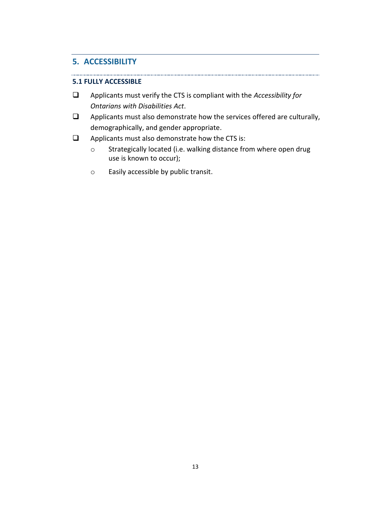### <span id="page-13-0"></span>**5. ACCESSIBILITY**

#### **5.1 FULLY ACCESSIBLE**

- Applicants must verify the CTS is compliant with the *Accessibility for Ontarians with Disabilities Act*.
- $\Box$  Applicants must also demonstrate how the services offered are culturally, demographically, and gender appropriate.
- $\Box$  Applicants must also demonstrate how the CTS is:
	- o Strategically located (i.e. walking distance from where open drug use is known to occur);
	- o Easily accessible by public transit.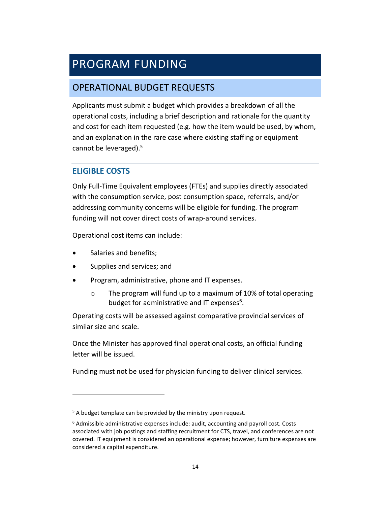## <span id="page-14-0"></span>PROGRAM FUNDING

## <span id="page-14-1"></span>OPERATIONAL BUDGET REQUESTS

Applicants must submit a budget which provides a breakdown of all the operational costs, including a brief description and rationale for the quantity and cost for each item requested (e.g. how the item would be used, by whom, and an explanation in the rare case where existing staffing or equipment cannot be leveraged).<sup>5</sup>

## <span id="page-14-2"></span>**ELIGIBLE COSTS**

Only Full-Time Equivalent employees (FTEs) and supplies directly associated with the consumption service, post consumption space, referrals, and/or addressing community concerns will be eligible for funding. The program funding will not cover direct costs of wrap-around services.

Operational cost items can include:

Salaries and benefits;

- Supplies and services; and
- Program, administrative, phone and IT expenses.
	- o The program will fund up to a maximum of 10% of total operating budget for administrative and IT expenses<sup>6</sup>.

Operating costs will be assessed against comparative provincial services of similar size and scale.

Once the Minister has approved final operational costs, an official funding letter will be issued.

Funding must not be used for physician funding to deliver clinical services.

 $5$  A budget template can be provided by the ministry upon request.

<sup>&</sup>lt;sup>6</sup> Admissible administrative expenses include: audit, accounting and payroll cost. Costs associated with job postings and staffing recruitment for CTS, travel, and conferences are not covered. IT equipment is considered an operational expense; however, furniture expenses are considered a capital expenditure.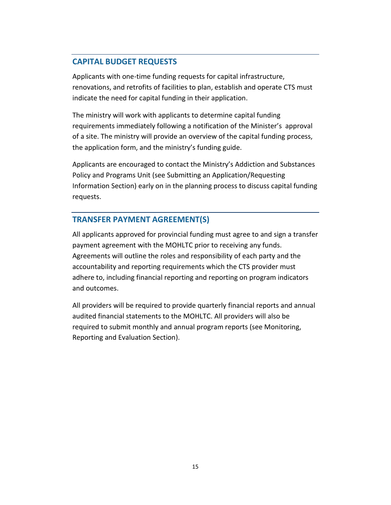## <span id="page-15-0"></span>**CAPITAL BUDGET REQUESTS**

Applicants with one-time funding requests for capital infrastructure, renovations, and retrofits of facilities to plan, establish and operate CTS must indicate the need for capital funding in their application.

The ministry will work with applicants to determine capital funding requirements immediately following a notification of the Minister's approval of a site. The ministry will provide an overview of the capital funding process, the application form, and the ministry's funding guide.

Applicants are encouraged to contact the Ministry's Addiction and Substances Policy and Programs Unit (see Submitting an Application/Requesting Information Section) early on in the planning process to discuss capital funding requests.

## <span id="page-15-1"></span>**TRANSFER PAYMENT AGREEMENT(S)**

All applicants approved for provincial funding must agree to and sign a transfer payment agreement with the MOHLTC prior to receiving any funds. Agreements will outline the roles and responsibility of each party and the accountability and reporting requirements which the CTS provider must adhere to, including financial reporting and reporting on program indicators and outcomes.

All providers will be required to provide quarterly financial reports and annual audited financial statements to the MOHLTC. All providers will also be required to submit monthly and annual program reports (see Monitoring, Reporting and Evaluation Section).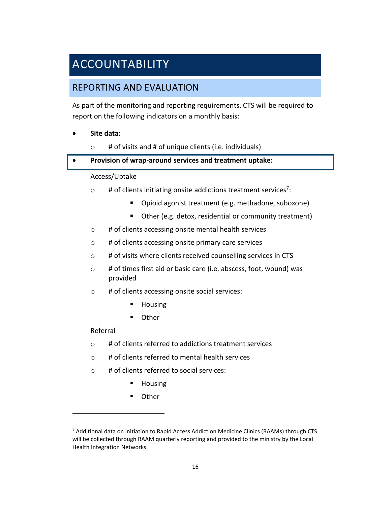## <span id="page-16-0"></span>ACCOUNTABILITY

## <span id="page-16-1"></span>REPORTING AND EVALUATION

As part of the monitoring and reporting requirements, CTS will be required to report on the following indicators on a monthly basis:

### **Site data:**

 $\circ$  # of visits and # of unique clients (i.e. individuals)

#### **Provision of wrap-around services and treatment uptake:**

#### Access/Uptake

- $\circ$  # of clients initiating onsite addictions treatment services<sup>7</sup>:
	- **Dianumal and System System** (e.g. methadone, suboxone)
	- Other (e.g. detox, residential or community treatment)
- o # of clients accessing onsite mental health services
- o # of clients accessing onsite primary care services
- o # of visits where clients received counselling services in CTS
- o # of times first aid or basic care (i.e. abscess, foot, wound) was provided
- o # of clients accessing onsite social services:
	- **Housing**
	- **Other**

### Referral

 $\overline{a}$ 

- $\circ$  # of clients referred to addictions treatment services
- o # of clients referred to mental health services
- o # of clients referred to social services:
	- **Housing**
	- Other

<sup>&</sup>lt;sup>7</sup> Additional data on initiation to Rapid Access Addiction Medicine Clinics (RAAMs) through CTS will be collected through RAAM quarterly reporting and provided to the ministry by the Local Health Integration Networks.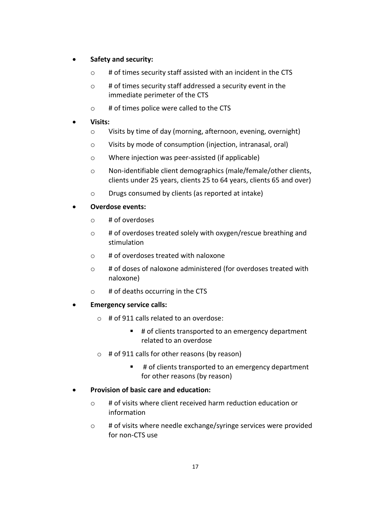### **Safety and security:**

- $\circ$  # of times security staff assisted with an incident in the CTS
- $\circ$  # of times security staff addressed a security event in the immediate perimeter of the CTS
- o # of times police were called to the CTS
- **Visits:** 
	- o Visits by time of day (morning, afternoon, evening, overnight)
	- o Visits by mode of consumption (injection, intranasal, oral)
	- o Where injection was peer-assisted (if applicable)
	- o Non-identifiable client demographics (male/female/other clients, clients under 25 years, clients 25 to 64 years, clients 65 and over)
	- o Drugs consumed by clients (as reported at intake)
- **Overdose events:** 
	- o # of overdoses
	- o # of overdoses treated solely with oxygen/rescue breathing and stimulation
	- o # of overdoses treated with naloxone
	- o # of doses of naloxone administered (for overdoses treated with naloxone)
	- $\circ$  # of deaths occurring in the CTS

#### **Emergency service calls:**

- o # of 911 calls related to an overdose:
	- # of clients transported to an emergency department related to an overdose
- o # of 911 calls for other reasons (by reason)
	- # of clients transported to an emergency department for other reasons (by reason)
- **Provision of basic care and education:** 
	- o # of visits where client received harm reduction education or information
	- o # of visits where needle exchange/syringe services were provided for non-CTS use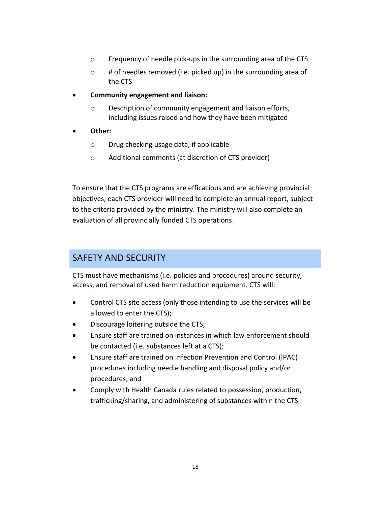- o Frequency of needle pick-ups in the surrounding area of the CTS
- o # of needles removed (i.e. picked up) in the surrounding area of the CTS
- **Community engagement and liaison:** 
	- o Description of community engagement and liaison efforts, including issues raised and how they have been mitigated
- **Other:** 
	- o Drug checking usage data, if applicable
	- o Additional comments (at discretion of CTS provider)

To ensure that the CTS programs are efficacious and are achieving provincial objectives, each CTS provider will need to complete an annual report, subject to the criteria provided by the ministry. The ministry will also complete an evaluation of all provincially funded CTS operations.

## <span id="page-18-0"></span>SAFETY AND SECURITY

CTS must have mechanisms (i.e. policies and procedures) around security, access, and removal of used harm reduction equipment. CTS will:

- Control CTS site access (only those intending to use the services will be allowed to enter the CTS);
- Discourage loitering outside the CTS;
- Ensure staff are trained on instances in which law enforcement should be contacted (i.e. substances left at a CTS);
- Ensure staff are trained on Infection Prevention and Control (IPAC) procedures including needle handling and disposal policy and/or procedures; and
- Comply with Health Canada rules related to possession, production, trafficking/sharing, and administering of substances within the CTS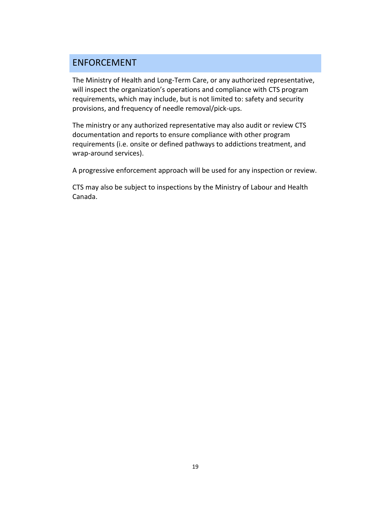## <span id="page-19-0"></span>ENFORCEMENT

The Ministry of Health and Long-Term Care, or any authorized representative, will inspect the organization's operations and compliance with CTS program requirements, which may include, but is not limited to: safety and security provisions, and frequency of needle removal/pick-ups.

The ministry or any authorized representative may also audit or review CTS documentation and reports to ensure compliance with other program requirements (i.e. onsite or defined pathways to addictions treatment, and wrap-around services).

A progressive enforcement approach will be used for any inspection or review.

CTS may also be subject to inspections by the Ministry of Labour and Health Canada.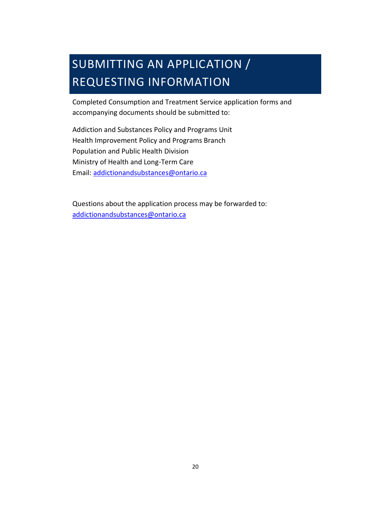## <span id="page-20-0"></span>SUBMITTING AN APPLICATION / REQUESTING INFORMATION

Completed Consumption and Treatment Service application forms and accompanying documents should be submitted to:

Addiction and Substances Policy and Programs Unit Health Improvement Policy and Programs Branch Population and Public Health Division Ministry of Health and Long-Term Care Email: [addictionandsubstances@ontario.ca](mailto:addictionandsubstances@ontario.ca) 

Questions about the application process may be forwarded to: [addictionandsubstances@ontario.ca](mailto:addictionandsubstances@ontario.ca)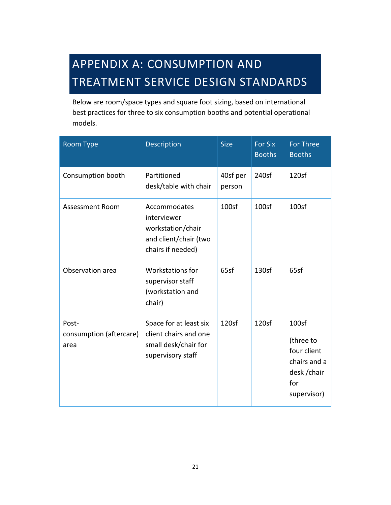## <span id="page-21-0"></span>APPENDIX A: CONSUMPTION AND TREATMENT SERVICE DESIGN STANDARDS

Below are room/space types and square foot sizing, based on international best practices for three to six consumption booths and potential operational models.

| Room Type                                | Description                                                                                    | <b>Size</b>        | <b>For Six</b><br><b>Booths</b> | <b>For Three</b><br><b>Booths</b>                                                                   |
|------------------------------------------|------------------------------------------------------------------------------------------------|--------------------|---------------------------------|-----------------------------------------------------------------------------------------------------|
| Consumption booth                        | Partitioned<br>desk/table with chair                                                           | 40sf per<br>person | 240sf                           | 120sf                                                                                               |
| <b>Assessment Room</b>                   | Accommodates<br>interviewer<br>workstation/chair<br>and client/chair (two<br>chairs if needed) | 100sf              | 100 <sub>sf</sub>               | 100 <sub>sf</sub>                                                                                   |
| Observation area                         | Workstations for<br>supervisor staff<br>(workstation and<br>chair)                             | 65sf               | 130sf                           | 65sf                                                                                                |
| Post-<br>consumption (aftercare)<br>area | Space for at least six<br>client chairs and one<br>small desk/chair for<br>supervisory staff   | 120 <sub>5</sub>   | 120sf                           | 100 <sub>sf</sub><br>(three to<br>four client<br>chairs and a<br>desk / chair<br>for<br>supervisor) |